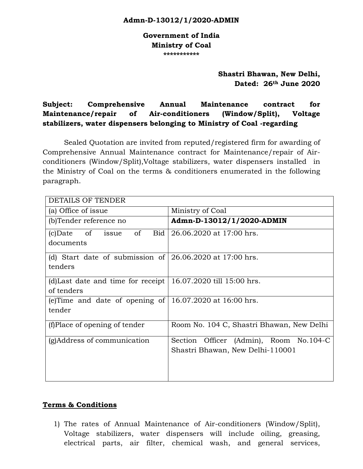#### **[Admn-D-13012/1/2020-ADMIN](https://coal.eoffice.gov.in/eFile/?x=3RiC7BCVGea3wvJuBGDrdSDLB*Do9Bmn)**

**Government of India Ministry of Coal \*\*\*\*\*\*\*\*\*\*\***

> **Shastri Bhawan, New Delhi, Dated: 26th June 2020**

**Subject: Comprehensive Annual Maintenance contract for Maintenance/repair of Air-conditioners (Window/Split), Voltage stabilizers, water dispensers belonging to Ministry of Coal -regarding**

Sealed Quotation are invited from reputed/registered firm for awarding of Comprehensive Annual Maintenance contract for Maintenance/repair of Airconditioners (Window/Split),Voltage stabilizers, water dispensers installed in the Ministry of Coal on the terms & conditioners enumerated in the following paragraph.

| <b>DETAILS OF TENDER</b>                                                            |                                                                               |  |  |  |  |  |  |
|-------------------------------------------------------------------------------------|-------------------------------------------------------------------------------|--|--|--|--|--|--|
| (a) Office of issue                                                                 | Ministry of Coal                                                              |  |  |  |  |  |  |
| (b)Tender reference no                                                              | Admn-D-13012/1/2020-ADMIN                                                     |  |  |  |  |  |  |
| of<br>Bid  <br>of<br>$(c)$ Date<br>issue<br>documents                               | 26.06.2020 at 17:00 hrs.                                                      |  |  |  |  |  |  |
| (d) Start date of submission of $\vert$ 26.06.2020 at 17:00 hrs.<br>tenders         |                                                                               |  |  |  |  |  |  |
| (d) Last date and time for receipt $\vert$ 16.07.2020 till 15:00 hrs.<br>of tenders |                                                                               |  |  |  |  |  |  |
| (e)Time and date of opening of $\vert$ 16.07.2020 at 16:00 hrs.<br>tender           |                                                                               |  |  |  |  |  |  |
| (f)Place of opening of tender                                                       | Room No. 104 C, Shastri Bhawan, New Delhi                                     |  |  |  |  |  |  |
| (g)Address of communication                                                         | Officer (Admin), Room No.104-C<br>Section<br>Shastri Bhawan, New Delhi-110001 |  |  |  |  |  |  |

#### **Terms & Conditions**

1) The rates of Annual Maintenance of Air-conditioners (Window/Split), Voltage stabilizers, water dispensers will include oiling, greasing, electrical parts, air filter, chemical wash, and general services,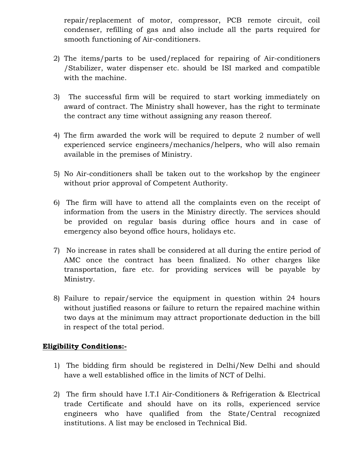repair/replacement of motor, compressor, PCB remote circuit, coil condenser, refilling of gas and also include all the parts required for smooth functioning of Air-conditioners.

- 2) The items/parts to be used/replaced for repairing of Air-conditioners /Stabilizer, water dispenser etc. should be ISI marked and compatible with the machine.
- 3) The successful firm will be required to start working immediately on award of contract. The Ministry shall however, has the right to terminate the contract any time without assigning any reason thereof.
- 4) The firm awarded the work will be required to depute 2 number of well experienced service engineers/mechanics/helpers, who will also remain available in the premises of Ministry.
- 5) No Air-conditioners shall be taken out to the workshop by the engineer without prior approval of Competent Authority.
- 6) The firm will have to attend all the complaints even on the receipt of information from the users in the Ministry directly. The services should be provided on regular basis during office hours and in case of emergency also beyond office hours, holidays etc.
- 7) No increase in rates shall be considered at all during the entire period of AMC once the contract has been finalized. No other charges like transportation, fare etc. for providing services will be payable by Ministry.
- 8) Failure to repair/service the equipment in question within 24 hours without justified reasons or failure to return the repaired machine within two days at the minimum may attract proportionate deduction in the bill in respect of the total period.

# **Eligibility Conditions:-**

- 1) The bidding firm should be registered in Delhi/New Delhi and should have a well established office in the limits of NCT of Delhi.
- 2) The firm should have I.T.I Air-Conditioners & Refrigeration & Electrical trade Certificate and should have on its rolls, experienced service engineers who have qualified from the State/Central recognized institutions. A list may be enclosed in Technical Bid.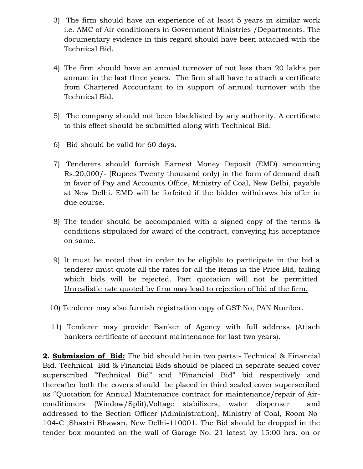- 3) The firm should have an experience of at least 5 years in similar work i.e. AMC of Air-conditioners in Government Ministries /Departments. The documentary evidence in this regard should have been attached with the Technical Bid.
- 4) The firm should have an annual turnover of not less than 20 lakhs per annum in the last three years. The firm shall have to attach a certificate from Chartered Accountant to in support of annual turnover with the Technical Bid.
- 5) The company should not been blacklisted by any authority. A certificate to this effect should be submitted along with Technical Bid.
- 6) Bid should be valid for 60 days.
- 7) Tenderers should furnish Earnest Money Deposit (EMD) amounting Rs.20,000/- (Rupees Twenty thousand only) in the form of demand draft in favor of Pay and Accounts Office, Ministry of Coal, New Delhi, payable at New Delhi. EMD will be forfeited if the bidder withdraws his offer in due course.
- 8) The tender should be accompanied with a signed copy of the terms & conditions stipulated for award of the contract, conveying his acceptance on same.
- 9) It must be noted that in order to be eligible to participate in the bid a tenderer must quote all the rates for all the items in the Price Bid, failing which bids will be rejected. Part quotation will not be permitted. Unrealistic rate quoted by firm may lead to rejection of bid of the firm.
- 10) Tenderer may also furnish registration copy of GST No, PAN Number.
- 11) Tenderer may provide Banker of Agency with full address (Attach bankers certificate of account maintenance for last two years).

**2. Submission of Bid:** The bid should be in two parts:- Technical & Financial Bid. Technical Bid & Financial Bids should be placed in separate sealed cover superscribed "Technical Bid" and "Financial Bid" bid respectively and thereafter both the covers should be placed in third sealed cover superscribed as "Quotation for Annual Maintenance contract for maintenance/repair of Airconditioners (Window/Split),Voltage stabilizers, water dispenser and addressed to the Section Officer (Administration), Ministry of Coal, Room No-104-C ,Shastri Bhawan, New Delhi-110001. The Bid should be dropped in the tender box mounted on the wall of Garage No. 21 latest by 15:00 hrs. on or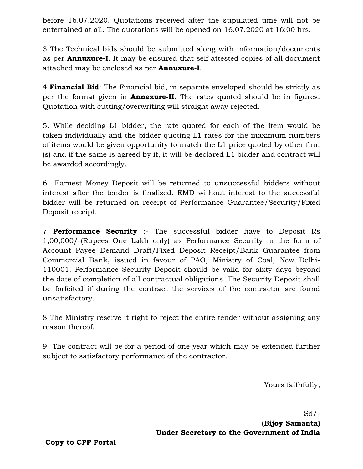before 16.07.2020. Quotations received after the stipulated time will not be entertained at all. The quotations will be opened on 16.07.2020 at 16:00 hrs.

3 The Technical bids should be submitted along with information/documents as per **Annuxure-I**. It may be ensured that self attested copies of all document attached may be enclosed as per **Annuxure-I**.

4 **Financial Bid**: The Financial bid, in separate enveloped should be strictly as per the format given in **Annexure-II**. The rates quoted should be in figures. Quotation with cutting/overwriting will straight away rejected.

5. While deciding L1 bidder, the rate quoted for each of the item would be taken individually and the bidder quoting L1 rates for the maximum numbers of items would be given opportunity to match the L1 price quoted by other firm (s) and if the same is agreed by it, it will be declared L1 bidder and contract will be awarded accordingly.

6 Earnest Money Deposit will be returned to unsuccessful bidders without interest after the tender is finalized. EMD without interest to the successful bidder will be returned on receipt of Performance Guarantee/Security/Fixed Deposit receipt.

7 **Performance Security** :- The successful bidder have to Deposit Rs 1,00,000/-(Rupees One Lakh only) as Performance Security in the form of Account Payee Demand Draft/Fixed Deposit Receipt/Bank Guarantee from Commercial Bank, issued in favour of PAO, Ministry of Coal, New Delhi-110001. Performance Security Deposit should be valid for sixty days beyond the date of completion of all contractual obligations. The Security Deposit shall be forfeited if during the contract the services of the contractor are found unsatisfactory.

8 The Ministry reserve it right to reject the entire tender without assigning any reason thereof.

9 The contract will be for a period of one year which may be extended further subject to satisfactory performance of the contractor.

Yours faithfully,

 $Sd$  /-**(Bijoy Samanta) Under Secretary to the Government of India**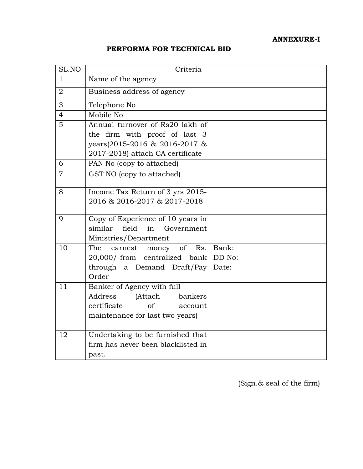# **ANNEXURE-I**

## **PERFORMA FOR TECHNICAL BID**

| SL.NO          | Criteria                                                                                                                               |        |  |
|----------------|----------------------------------------------------------------------------------------------------------------------------------------|--------|--|
| $\mathbf{1}$   | Name of the agency                                                                                                                     |        |  |
| $\overline{2}$ | Business address of agency                                                                                                             |        |  |
| 3              | Telephone No                                                                                                                           |        |  |
| $\overline{4}$ | Mobile No                                                                                                                              |        |  |
| 5              | Annual turnover of Rs20 lakh of<br>the firm with proof of last 3<br>years(2015-2016 & 2016-2017 &<br>2017-2018) attach CA certificate  |        |  |
| 6              | PAN No (copy to attached)                                                                                                              |        |  |
| $\overline{7}$ | GST NO (copy to attached)                                                                                                              |        |  |
| 8              | Income Tax Return of 3 yrs 2015-<br>2016 & 2016-2017 & 2017-2018                                                                       |        |  |
| 9              | Copy of Experience of 10 years in<br>similar<br>field<br>in<br>Government<br>Ministries/Department                                     |        |  |
| 10             | The<br>earnest money of<br>Rs.                                                                                                         | Bank:  |  |
|                | 20,000/-from centralized bank                                                                                                          | DD No: |  |
|                | through a Demand Draft/Pay<br>Order                                                                                                    | Date:  |  |
| 11             | Banker of Agency with full<br>Address<br>(Attach<br>bankers<br>certificate<br>$\alpha$ f<br>account<br>maintenance for last two years) |        |  |
| 12             | Undertaking to be furnished that<br>firm has never been blacklisted in<br>past.                                                        |        |  |

(Sign.& seal of the firm)